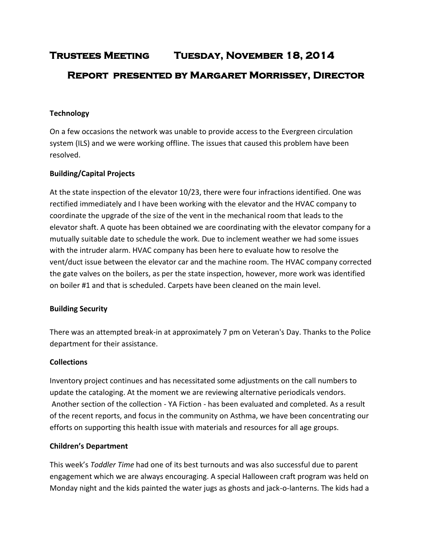# **Trustees Meeting Tuesday, November 18, 2014 Report presented by Margaret Morrissey, Director**

## **Technology**

On a few occasions the network was unable to provide access to the Evergreen circulation system (ILS) and we were working offline. The issues that caused this problem have been resolved.

## **Building/Capital Projects**

At the state inspection of the elevator 10/23, there were four infractions identified. One was rectified immediately and I have been working with the elevator and the HVAC company to coordinate the upgrade of the size of the vent in the mechanical room that leads to the elevator shaft. A quote has been obtained we are coordinating with the elevator company for a mutually suitable date to schedule the work. Due to inclement weather we had some issues with the intruder alarm. HVAC company has been here to evaluate how to resolve the vent/duct issue between the elevator car and the machine room. The HVAC company corrected the gate valves on the boilers, as per the state inspection, however, more work was identified on boiler #1 and that is scheduled. Carpets have been cleaned on the main level.

#### **Building Security**

There was an attempted break-in at approximately 7 pm on Veteran's Day. Thanks to the Police department for their assistance.

#### **Collections**

Inventory project continues and has necessitated some adjustments on the call numbers to update the cataloging. At the moment we are reviewing alternative periodicals vendors. Another section of the collection - YA Fiction - has been evaluated and completed. As a result of the recent reports, and focus in the community on Asthma, we have been concentrating our efforts on supporting this health issue with materials and resources for all age groups.

#### **Children's Department**

This week's *Toddler Time* had one of its best turnouts and was also successful due to parent engagement which we are always encouraging. A special Halloween craft program was held on Monday night and the kids painted the water jugs as ghosts and jack-o-lanterns. The kids had a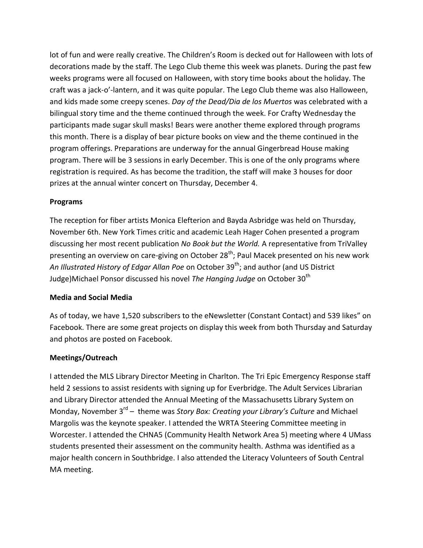lot of fun and were really creative. The Children's Room is decked out for Halloween with lots of decorations made by the staff. The Lego Club theme this week was planets. During the past few weeks programs were all focused on Halloween, with story time books about the holiday. The craft was a jack-o'-lantern, and it was quite popular. The Lego Club theme was also Halloween, and kids made some creepy scenes. *Day of the Dead/Dia de los Muertos* was celebrated with a bilingual story time and the theme continued through the week. For Crafty Wednesday the participants made sugar skull masks! Bears were another theme explored through programs this month. There is a display of bear picture books on view and the theme continued in the program offerings. Preparations are underway for the annual Gingerbread House making program. There will be 3 sessions in early December. This is one of the only programs where registration is required. As has become the tradition, the staff will make 3 houses for door prizes at the annual winter concert on Thursday, December 4.

## **Programs**

The reception for fiber artists Monica Elefterion and Bayda Asbridge was held on Thursday, November 6th. New York Times critic and academic Leah Hager Cohen presented a program discussing her most recent publication *No Book but the World.* A representative from TriValley presenting an overview on care-giving on October 28<sup>th</sup>; Paul Macek presented on his new work An Illustrated History of Edgar Allan Poe on October 39<sup>th</sup>; and author (and US District Judge)Michael Ponsor discussed his novel *The Hanging Judge* on October 30<sup>th</sup>

# **Media and Social Media**

As of today, we have 1,520 subscribers to the eNewsletter (Constant Contact) and 539 likes" on Facebook. There are some great projects on display this week from both Thursday and Saturday and photos are posted on Facebook.

## **Meetings/Outreach**

I attended the MLS Library Director Meeting in Charlton. The Tri Epic Emergency Response staff held 2 sessions to assist residents with signing up for Everbridge. The Adult Services Librarian and Library Director attended the Annual Meeting of the Massachusetts Library System on Monday, November 3<sup>rd</sup> – theme was *Story Box: Creating your Library's Culture* and Michael Margolis was the keynote speaker. I attended the WRTA Steering Committee meeting in Worcester. I attended the CHNA5 (Community Health Network Area 5) meeting where 4 UMass students presented their assessment on the community health. Asthma was identified as a major health concern in Southbridge. I also attended the Literacy Volunteers of South Central MA meeting.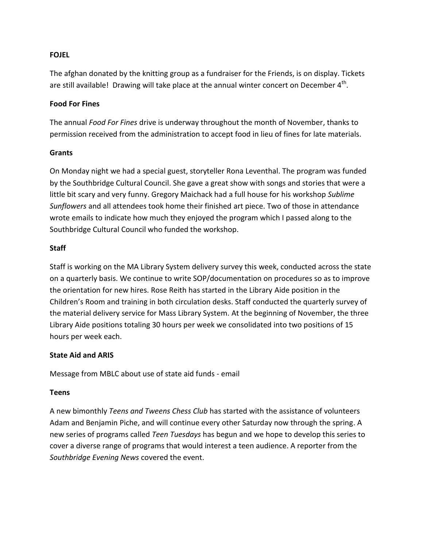#### **FOJEL**

The afghan donated by the knitting group as a fundraiser for the Friends, is on display. Tickets are still available! Drawing will take place at the annual winter concert on December  $4^{\text{th}}$ .

#### **Food For Fines**

The annual *Food For Fines* drive is underway throughout the month of November, thanks to permission received from the administration to accept food in lieu of fines for late materials.

#### **Grants**

On Monday night we had a special guest, storyteller Rona Leventhal. The program was funded by the Southbridge Cultural Council. She gave a great show with songs and stories that were a little bit scary and very funny. Gregory Maichack had a full house for his workshop *Sublime Sunflowers* and all attendees took home their finished art piece. Two of those in attendance wrote emails to indicate how much they enjoyed the program which I passed along to the Southbridge Cultural Council who funded the workshop.

#### **Staff**

Staff is working on the MA Library System delivery survey this week, conducted across the state on a quarterly basis. We continue to write SOP/documentation on procedures so as to improve the orientation for new hires. Rose Reith has started in the Library Aide position in the Children's Room and training in both circulation desks. Staff conducted the quarterly survey of the material delivery service for Mass Library System. At the beginning of November, the three Library Aide positions totaling 30 hours per week we consolidated into two positions of 15 hours per week each.

#### **State Aid and ARIS**

Message from MBLC about use of state aid funds - email

#### **Teens**

A new bimonthly *Teens and Tweens Chess Club* has started with the assistance of volunteers Adam and Benjamin Piche, and will continue every other Saturday now through the spring. A new series of programs called *Teen Tuesdays* has begun and we hope to develop this series to cover a diverse range of programs that would interest a teen audience. A reporter from the *Southbridge Evening News* covered the event.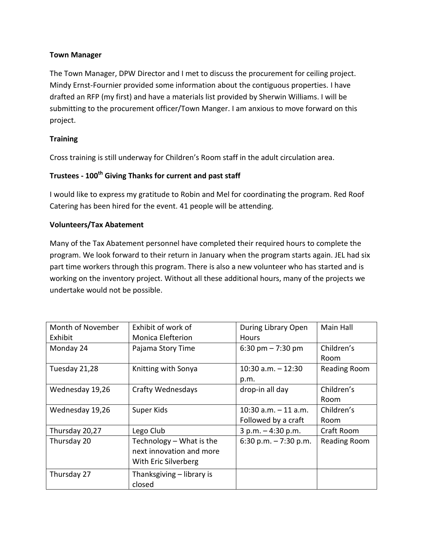## **Town Manager**

The Town Manager, DPW Director and I met to discuss the procurement for ceiling project. Mindy Ernst-Fournier provided some information about the contiguous properties. I have drafted an RFP (my first) and have a materials list provided by Sherwin Williams. I will be submitting to the procurement officer/Town Manger. I am anxious to move forward on this project.

## **Training**

Cross training is still underway for Children's Room staff in the adult circulation area.

# **Trustees - 100th Giving Thanks for current and past staff**

I would like to express my gratitude to Robin and Mel for coordinating the program. Red Roof Catering has been hired for the event. 41 people will be attending.

## **Volunteers/Tax Abatement**

Many of the Tax Abatement personnel have completed their required hours to complete the program. We look forward to their return in January when the program starts again. JEL had six part time workers through this program. There is also a new volunteer who has started and is working on the inventory project. Without all these additional hours, many of the projects we undertake would not be possible.

| Month of November | Exhibit of work of        | During Library Open     | Main Hall    |
|-------------------|---------------------------|-------------------------|--------------|
| Exhibit           | <b>Monica Elefterion</b>  | <b>Hours</b>            |              |
| Monday 24         | Pajama Story Time         | 6:30 pm $- 7:30$ pm     | Children's   |
|                   |                           |                         | Room         |
| Tuesday 21,28     | Knitting with Sonya       | $10:30$ a.m. $-12:30$   | Reading Room |
|                   |                           | p.m.                    |              |
| Wednesday 19,26   | <b>Crafty Wednesdays</b>  | drop-in all day         | Children's   |
|                   |                           |                         | Room         |
| Wednesday 19,26   | Super Kids                | $10:30$ a.m. $-11$ a.m. | Children's   |
|                   |                           | Followed by a craft     | Room         |
| Thursday 20,27    | Lego Club                 | $3 p.m. - 4:30 p.m.$    | Craft Room   |
| Thursday 20       | Technology – What is the  | 6:30 p.m. $-7:30$ p.m.  | Reading Room |
|                   | next innovation and more  |                         |              |
|                   | With Eric Silverberg      |                         |              |
| Thursday 27       | Thanksgiving - library is |                         |              |
|                   | closed                    |                         |              |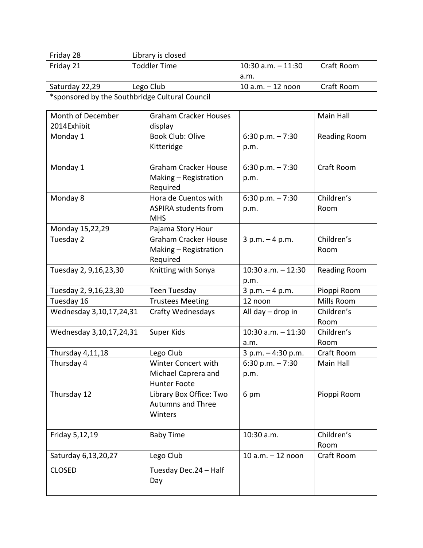| Library is closed   |                       |            |
|---------------------|-----------------------|------------|
| <b>Toddler Time</b> | $10:30$ a.m. $-11:30$ | Craft Room |
|                     | a.m.                  |            |
| Lego Club           | $10 a.m. - 12 noon$   | Craft Room |
|                     |                       |            |

\*sponsored by the Southbridge Cultural Council

| Month of December<br>2014Exhibit | <b>Graham Cracker Houses</b><br>display                           |                               | Main Hall           |
|----------------------------------|-------------------------------------------------------------------|-------------------------------|---------------------|
| Monday 1                         | <b>Book Club: Olive</b><br>Kitteridge                             | $6:30$ p.m. $-7:30$<br>p.m.   | Reading Room        |
| Monday 1                         | <b>Graham Cracker House</b><br>Making - Registration<br>Required  | 6:30 p.m. $-7:30$<br>p.m.     | Craft Room          |
| Monday 8                         | Hora de Cuentos with<br><b>ASPIRA students from</b><br><b>MHS</b> | 6:30 p.m. $-7:30$<br>p.m.     | Children's<br>Room  |
| Monday 15,22,29                  | Pajama Story Hour                                                 |                               |                     |
| Tuesday 2                        | <b>Graham Cracker House</b><br>Making - Registration<br>Required  | $3 p.m. - 4 p.m.$             | Children's<br>Room  |
| Tuesday 2, 9,16,23,30            | Knitting with Sonya                                               | $10:30$ a.m. $-12:30$<br>p.m. | <b>Reading Room</b> |
| Tuesday 2, 9,16,23,30            | Teen Tuesday                                                      | $3 p.m. - 4 p.m.$             | Pioppi Room         |
| Tuesday 16                       | <b>Trustees Meeting</b>                                           | 12 noon                       | Mills Room          |
| Wednesday 3,10,17,24,31          | <b>Crafty Wednesdays</b>                                          | All day - drop in             | Children's<br>Room  |
| Wednesday 3,10,17,24,31          | Super Kids                                                        | $10:30$ a.m. $-11:30$<br>a.m. | Children's<br>Room  |
| Thursday 4,11,18                 | Lego Club                                                         | 3 p.m. - 4:30 p.m.            | Craft Room          |
| Thursday 4                       | Winter Concert with<br>Michael Caprera and<br><b>Hunter Foote</b> | 6:30 p.m. $-7:30$<br>p.m.     | Main Hall           |
| Thursday 12                      | Library Box Office: Two<br><b>Autumns and Three</b><br>Winters    | 6 pm                          | Pioppi Room         |
| Friday 5,12,19                   | <b>Baby Time</b>                                                  | 10:30 a.m.                    | Children's<br>Room  |
| Saturday 6,13,20,27              | Lego Club                                                         | 10 $a.m. - 12$ noon           | Craft Room          |
| <b>CLOSED</b>                    | Tuesday Dec.24 - Half<br>Day                                      |                               |                     |